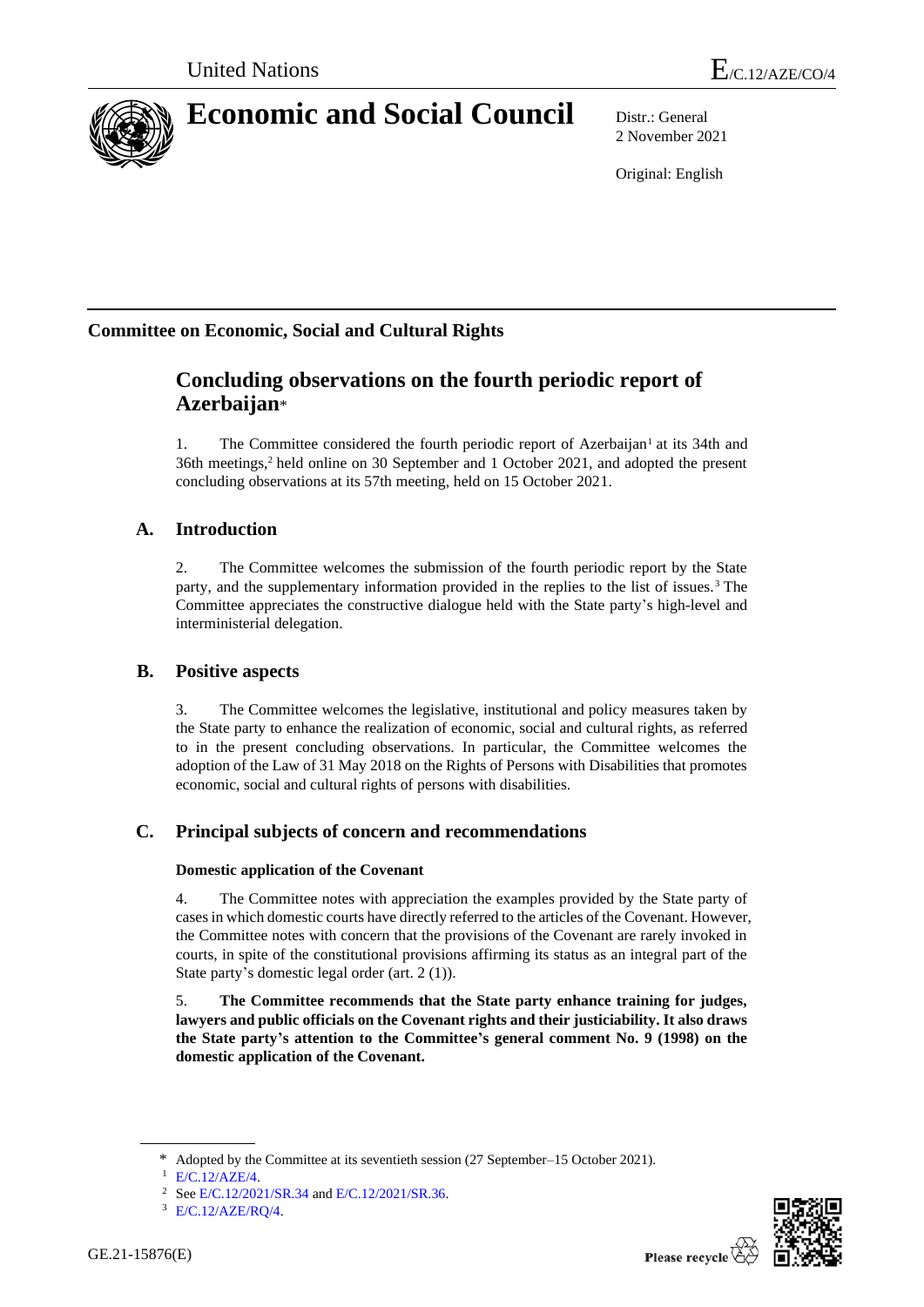

# **Economic and Social Council** Distr.: General

2 November 2021

Original: English

# **Committee on Economic, Social and Cultural Rights**

# **Concluding observations on the fourth periodic report of Azerbaijan**\*

1. The Committee considered the fourth periodic report of Azerbaijan<sup>1</sup> at its 34th and 36th meetings,<sup>2</sup> held online on 30 September and 1 October 2021, and adopted the present concluding observations at its 57th meeting, held on 15 October 2021.

# **A. Introduction**

2. The Committee welcomes the submission of the fourth periodic report by the State party, and the supplementary information provided in the replies to the list of issues.<sup>3</sup> The Committee appreciates the constructive dialogue held with the State party's high-level and interministerial delegation.

# **B. Positive aspects**

3. The Committee welcomes the legislative, institutional and policy measures taken by the State party to enhance the realization of economic, social and cultural rights, as referred to in the present concluding observations. In particular, the Committee welcomes the adoption of the Law of 31 May 2018 on the Rights of Persons with Disabilities that promotes economic, social and cultural rights of persons with disabilities.

# **C. Principal subjects of concern and recommendations**

# **Domestic application of the Covenant**

4. The Committee notes with appreciation the examples provided by the State party of cases in which domestic courts have directly referred to the articles of the Covenant. However, the Committee notes with concern that the provisions of the Covenant are rarely invoked in courts, in spite of the constitutional provisions affirming its status as an integral part of the State party's domestic legal order (art. 2 (1)).

5. **The Committee recommends that the State party enhance training for judges, lawyers and public officials on the Covenant rights and their justiciability. It also draws the State party's attention to the Committee's general comment No. 9 (1998) on the domestic application of the Covenant.**



<sup>\*</sup> Adopted by the Committee at its seventieth session (27 September–15 October 2021).

<sup>1</sup> [E/C.12/AZE/4.](http://undocs.org/en/E/C.12/AZE/4)

<sup>&</sup>lt;sup>2</sup> Se[e E/C.12/2021/SR.34](http://undocs.org/en/E/C.12/2021/SR.34) an[d E/C.12/2021/SR.36.](http://undocs.org/en/E/C.12/2021/SR.36)

<sup>3</sup> [E/C.12/AZE/RQ/4.](http://undocs.org/en/E/C.12/AZE/RQ/4)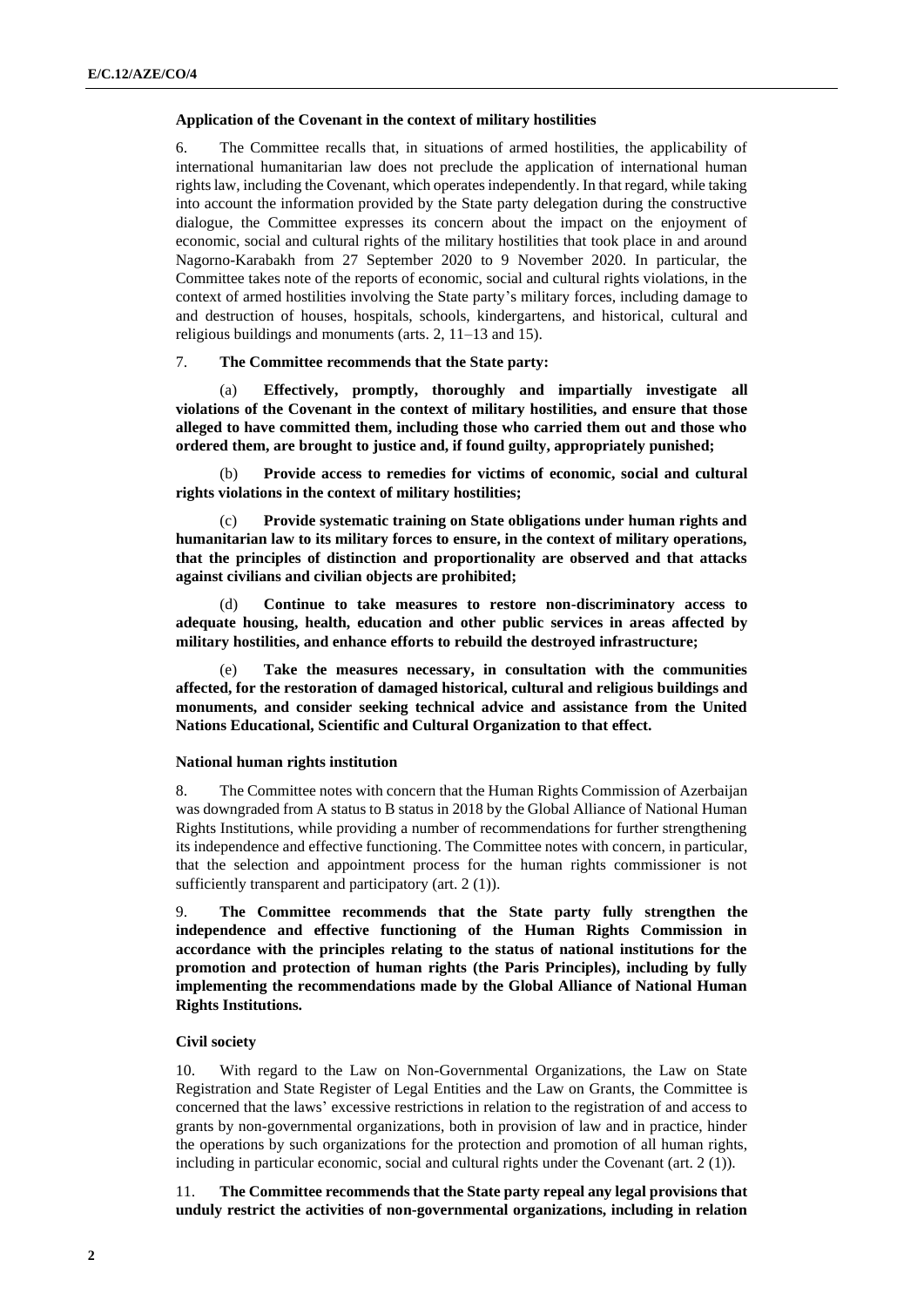#### **Application of the Covenant in the context of military hostilities**

6. The Committee recalls that, in situations of armed hostilities, the applicability of international humanitarian law does not preclude the application of international human rights law, including the Covenant, which operates independently. In that regard, while taking into account the information provided by the State party delegation during the constructive dialogue, the Committee expresses its concern about the impact on the enjoyment of economic, social and cultural rights of the military hostilities that took place in and around Nagorno-Karabakh from 27 September 2020 to 9 November 2020. In particular, the Committee takes note of the reports of economic, social and cultural rights violations, in the context of armed hostilities involving the State party's military forces, including damage to and destruction of houses, hospitals, schools, kindergartens, and historical, cultural and religious buildings and monuments (arts. 2, 11–13 and 15).

#### 7. **The Committee recommends that the State party:**

(a) **Effectively, promptly, thoroughly and impartially investigate all violations of the Covenant in the context of military hostilities, and ensure that those alleged to have committed them, including those who carried them out and those who ordered them, are brought to justice and, if found guilty, appropriately punished;**

(b) **Provide access to remedies for victims of economic, social and cultural rights violations in the context of military hostilities;**

(c) **Provide systematic training on State obligations under human rights and humanitarian law to its military forces to ensure, in the context of military operations, that the principles of distinction and proportionality are observed and that attacks against civilians and civilian objects are prohibited;**

(d) **Continue to take measures to restore non-discriminatory access to adequate housing, health, education and other public services in areas affected by military hostilities, and enhance efforts to rebuild the destroyed infrastructure;**

(e) **Take the measures necessary, in consultation with the communities affected, for the restoration of damaged historical, cultural and religious buildings and monuments, and consider seeking technical advice and assistance from the United Nations Educational, Scientific and Cultural Organization to that effect.**

#### **National human rights institution**

8. The Committee notes with concern that the Human Rights Commission of Azerbaijan was downgraded from A status to B status in 2018 by the Global Alliance of National Human Rights Institutions, while providing a number of recommendations for further strengthening its independence and effective functioning. The Committee notes with concern, in particular, that the selection and appointment process for the human rights commissioner is not sufficiently transparent and participatory (art. 2 (1)).

9. **The Committee recommends that the State party fully strengthen the independence and effective functioning of the Human Rights Commission in accordance with the principles relating to the status of national institutions for the promotion and protection of human rights (the Paris Principles), including by fully implementing the recommendations made by the Global Alliance of National Human Rights Institutions.**

# **Civil society**

10. With regard to the Law on Non-Governmental Organizations, the Law on State Registration and State Register of Legal Entities and the Law on Grants, the Committee is concerned that the laws' excessive restrictions in relation to the registration of and access to grants by non-governmental organizations, both in provision of law and in practice, hinder the operations by such organizations for the protection and promotion of all human rights, including in particular economic, social and cultural rights under the Covenant (art. 2 (1)).

11. **The Committee recommends that the State party repeal any legal provisions that unduly restrict the activities of non-governmental organizations, including in relation**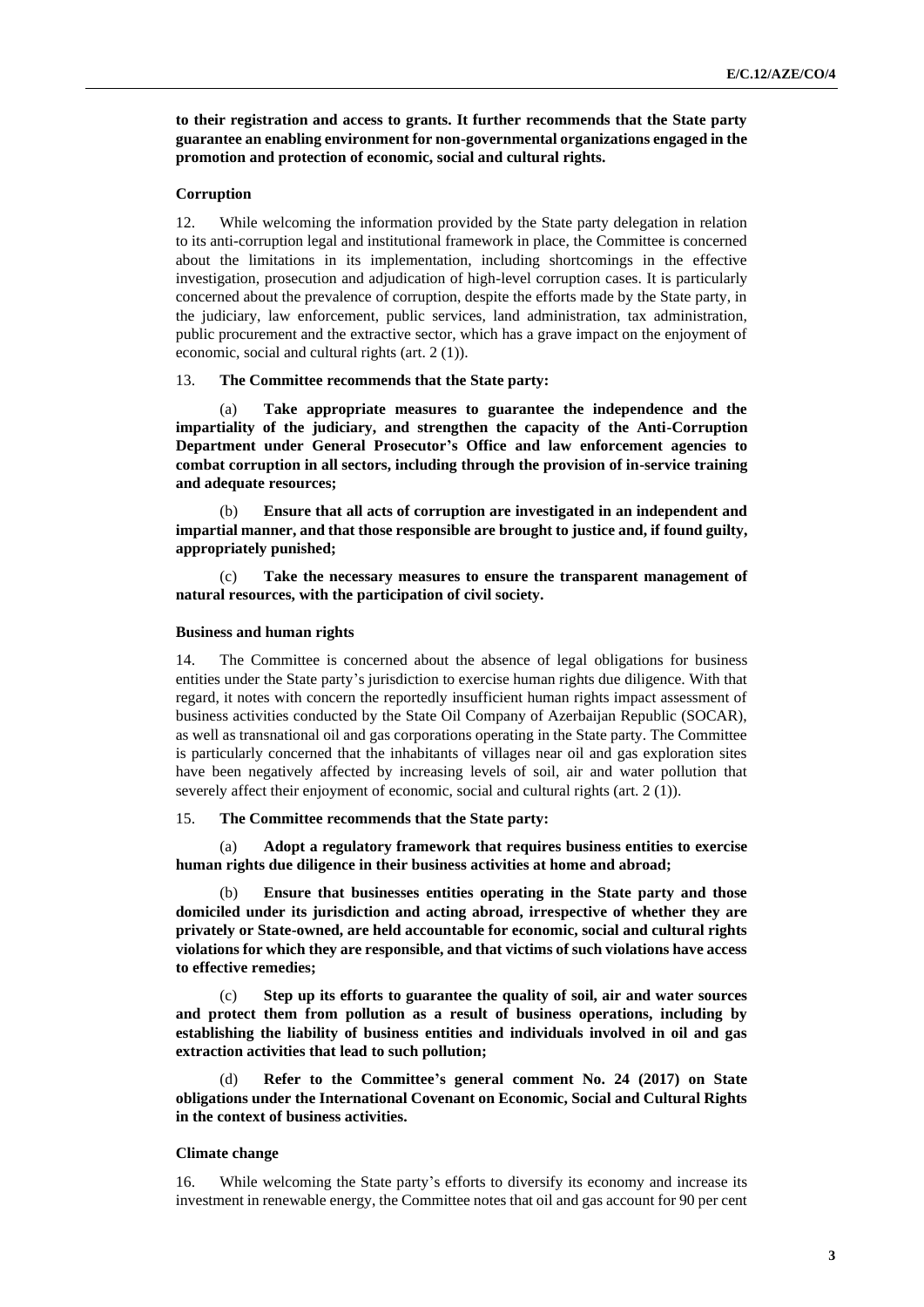**to their registration and access to grants. It further recommends that the State party guarantee an enabling environment for non-governmental organizations engaged in the promotion and protection of economic, social and cultural rights.**

# **Corruption**

12. While welcoming the information provided by the State party delegation in relation to its anti-corruption legal and institutional framework in place, the Committee is concerned about the limitations in its implementation, including shortcomings in the effective investigation, prosecution and adjudication of high-level corruption cases. It is particularly concerned about the prevalence of corruption, despite the efforts made by the State party, in the judiciary, law enforcement, public services, land administration, tax administration, public procurement and the extractive sector, which has a grave impact on the enjoyment of economic, social and cultural rights (art. 2 (1)).

#### 13. **The Committee recommends that the State party:**

Take appropriate measures to guarantee the independence and the **impartiality of the judiciary, and strengthen the capacity of the Anti-Corruption Department under General Prosecutor's Office and law enforcement agencies to combat corruption in all sectors, including through the provision of in-service training and adequate resources;**

(b) **Ensure that all acts of corruption are investigated in an independent and impartial manner, and that those responsible are brought to justice and, if found guilty, appropriately punished;**

(c) **Take the necessary measures to ensure the transparent management of natural resources, with the participation of civil society.**

#### **Business and human rights**

14. The Committee is concerned about the absence of legal obligations for business entities under the State party's jurisdiction to exercise human rights due diligence. With that regard, it notes with concern the reportedly insufficient human rights impact assessment of business activities conducted by the State Oil Company of Azerbaijan Republic (SOCAR), as well as transnational oil and gas corporations operating in the State party. The Committee is particularly concerned that the inhabitants of villages near oil and gas exploration sites have been negatively affected by increasing levels of soil, air and water pollution that severely affect their enjoyment of economic, social and cultural rights (art. 2 (1)).

#### 15. **The Committee recommends that the State party:**

(a) **Adopt a regulatory framework that requires business entities to exercise human rights due diligence in their business activities at home and abroad;**

Ensure that businesses entities operating in the State party and those **domiciled under its jurisdiction and acting abroad, irrespective of whether they are privately or State-owned, are held accountable for economic, social and cultural rights violations for which they are responsible, and that victims of such violations have access to effective remedies;**

(c) **Step up its efforts to guarantee the quality of soil, air and water sources and protect them from pollution as a result of business operations, including by establishing the liability of business entities and individuals involved in oil and gas extraction activities that lead to such pollution;**

(d) **Refer to the Committee's general comment No. 24 (2017) on State obligations under the International Covenant on Economic, Social and Cultural Rights in the context of business activities.**

#### **Climate change**

16. While welcoming the State party's efforts to diversify its economy and increase its investment in renewable energy, the Committee notes that oil and gas account for 90 per cent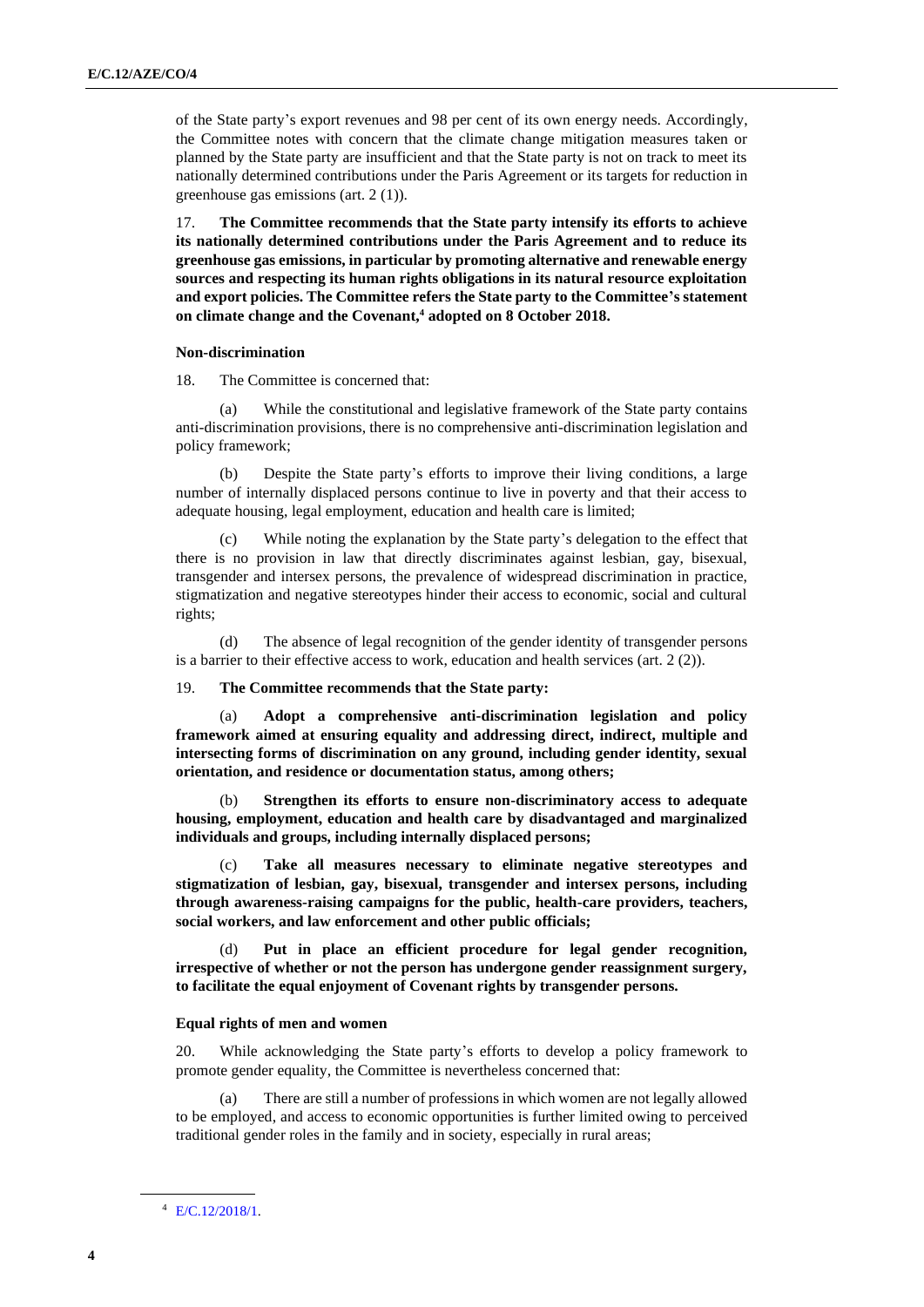of the State party's export revenues and 98 per cent of its own energy needs. Accordingly, the Committee notes with concern that the climate change mitigation measures taken or planned by the State party are insufficient and that the State party is not on track to meet its nationally determined contributions under the Paris Agreement or its targets for reduction in greenhouse gas emissions (art. 2 (1)).

17. **The Committee recommends that the State party intensify its efforts to achieve its nationally determined contributions under the Paris Agreement and to reduce its greenhouse gas emissions, in particular by promoting alternative and renewable energy sources and respecting its human rights obligations in its natural resource exploitation and export policies. The Committee refers the State party to the Committee's statement on climate change and the Covenant,<sup>4</sup> adopted on 8 October 2018.**

#### **Non-discrimination**

18. The Committee is concerned that:

(a) While the constitutional and legislative framework of the State party contains anti-discrimination provisions, there is no comprehensive anti-discrimination legislation and policy framework;

(b) Despite the State party's efforts to improve their living conditions, a large number of internally displaced persons continue to live in poverty and that their access to adequate housing, legal employment, education and health care is limited;

(c) While noting the explanation by the State party's delegation to the effect that there is no provision in law that directly discriminates against lesbian, gay, bisexual, transgender and intersex persons, the prevalence of widespread discrimination in practice, stigmatization and negative stereotypes hinder their access to economic, social and cultural rights;

(d) The absence of legal recognition of the gender identity of transgender persons is a barrier to their effective access to work, education and health services (art. 2 (2)).

# 19. **The Committee recommends that the State party:**

(a) **Adopt a comprehensive anti-discrimination legislation and policy framework aimed at ensuring equality and addressing direct, indirect, multiple and intersecting forms of discrimination on any ground, including gender identity, sexual orientation, and residence or documentation status, among others;**

(b) **Strengthen its efforts to ensure non-discriminatory access to adequate housing, employment, education and health care by disadvantaged and marginalized individuals and groups, including internally displaced persons;**

Take all measures necessary to eliminate negative stereotypes and **stigmatization of lesbian, gay, bisexual, transgender and intersex persons, including through awareness-raising campaigns for the public, health-care providers, teachers, social workers, and law enforcement and other public officials;**

(d) **Put in place an efficient procedure for legal gender recognition, irrespective of whether or not the person has undergone gender reassignment surgery, to facilitate the equal enjoyment of Covenant rights by transgender persons.**

#### **Equal rights of men and women**

20. While acknowledging the State party's efforts to develop a policy framework to promote gender equality, the Committee is nevertheless concerned that:

(a) There are still a number of professions in which women are not legally allowed to be employed, and access to economic opportunities is further limited owing to perceived traditional gender roles in the family and in society, especially in rural areas;

<sup>4</sup> [E/C.12/2018/1.](http://undocs.org/en/E/C.12/2018/1)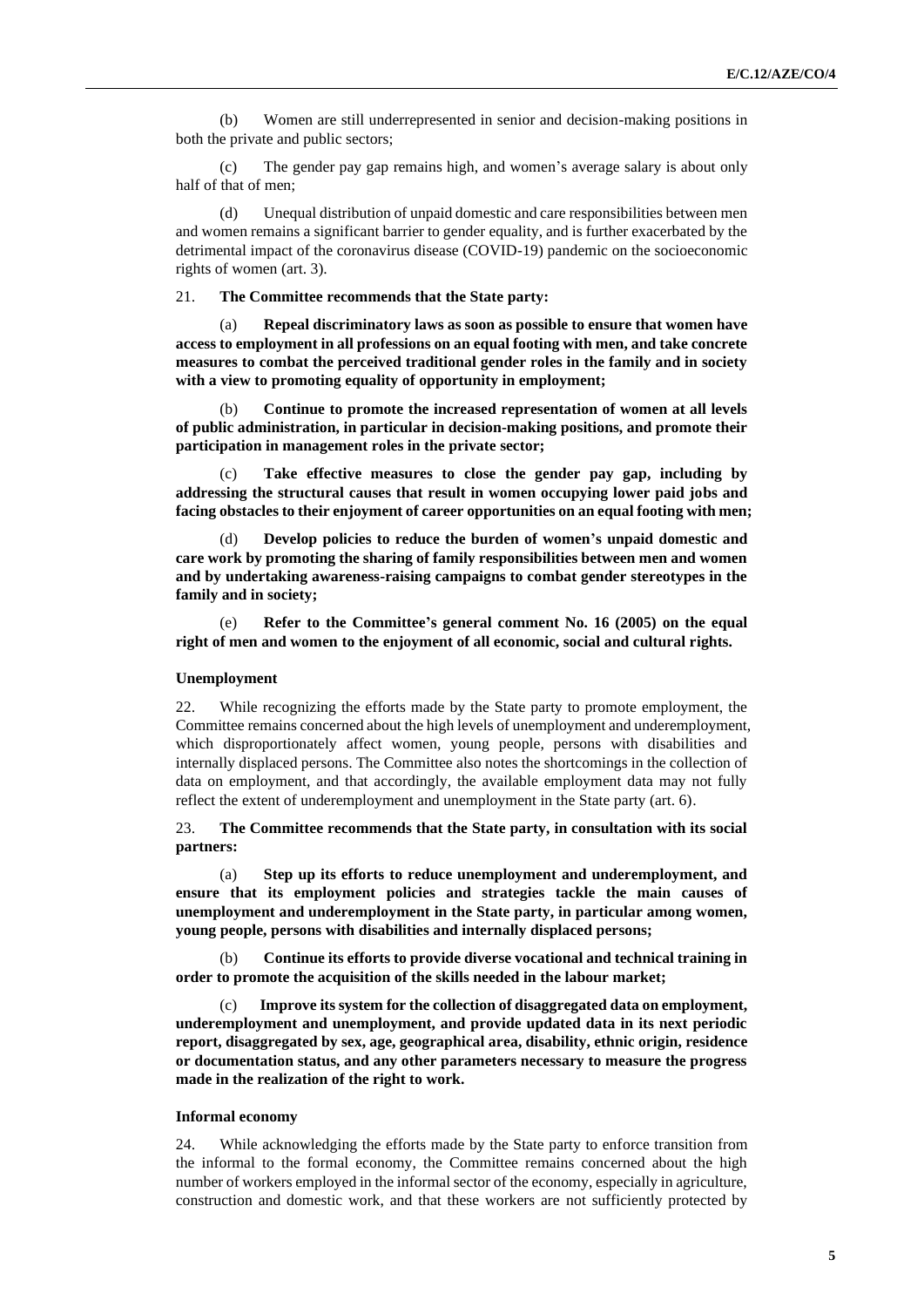(b) Women are still underrepresented in senior and decision-making positions in both the private and public sectors;

(c) The gender pay gap remains high, and women's average salary is about only half of that of men;

(d) Unequal distribution of unpaid domestic and care responsibilities between men and women remains a significant barrier to gender equality, and is further exacerbated by the detrimental impact of the coronavirus disease (COVID-19) pandemic on the socioeconomic rights of women (art. 3).

#### 21. **The Committee recommends that the State party:**

(a) **Repeal discriminatory laws as soon as possible to ensure that women have access to employment in all professions on an equal footing with men, and take concrete measures to combat the perceived traditional gender roles in the family and in society with a view to promoting equality of opportunity in employment;**

Continue to promote the increased representation of women at all levels **of public administration, in particular in decision-making positions, and promote their participation in management roles in the private sector;**

Take effective measures to close the gender pay gap, including by **addressing the structural causes that result in women occupying lower paid jobs and facing obstacles to their enjoyment of career opportunities on an equal footing with men;**

Develop policies to reduce the burden of women's unpaid domestic and **care work by promoting the sharing of family responsibilities between men and women and by undertaking awareness-raising campaigns to combat gender stereotypes in the family and in society;**

(e) **Refer to the Committee's general comment No. 16 (2005) on the equal right of men and women to the enjoyment of all economic, social and cultural rights.**

#### **Unemployment**

22. While recognizing the efforts made by the State party to promote employment, the Committee remains concerned about the high levels of unemployment and underemployment, which disproportionately affect women, young people, persons with disabilities and internally displaced persons. The Committee also notes the shortcomings in the collection of data on employment, and that accordingly, the available employment data may not fully reflect the extent of underemployment and unemployment in the State party (art. 6).

# 23. **The Committee recommends that the State party, in consultation with its social partners:**

(a) **Step up its efforts to reduce unemployment and underemployment, and ensure that its employment policies and strategies tackle the main causes of unemployment and underemployment in the State party, in particular among women, young people, persons with disabilities and internally displaced persons;**

(b) **Continue its efforts to provide diverse vocational and technical training in order to promote the acquisition of the skills needed in the labour market;**

Improve its system for the collection of disaggregated data on employment, **underemployment and unemployment, and provide updated data in its next periodic report, disaggregated by sex, age, geographical area, disability, ethnic origin, residence or documentation status, and any other parameters necessary to measure the progress made in the realization of the right to work.**

#### **Informal economy**

24. While acknowledging the efforts made by the State party to enforce transition from the informal to the formal economy, the Committee remains concerned about the high number of workers employed in the informal sector of the economy, especially in agriculture, construction and domestic work, and that these workers are not sufficiently protected by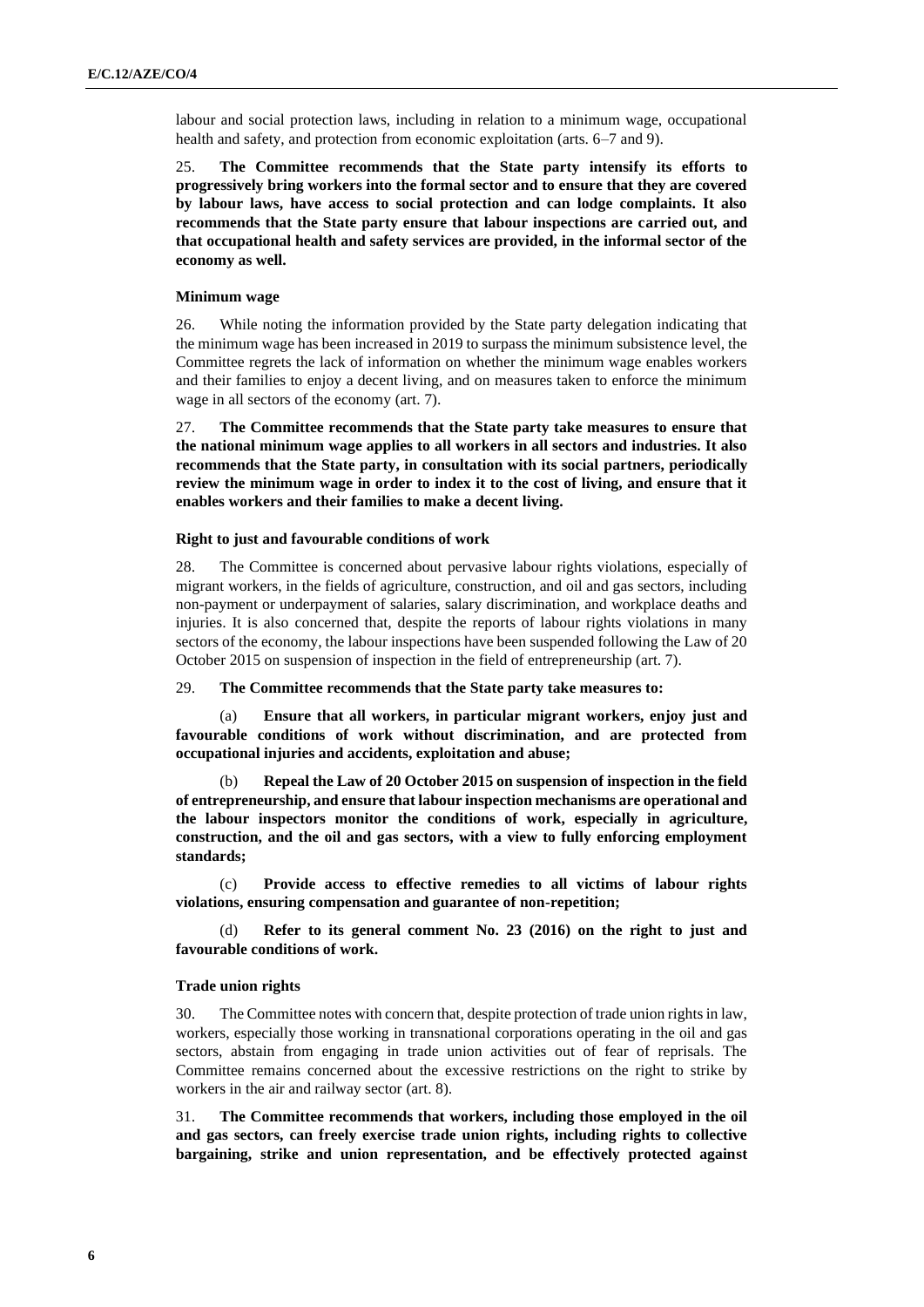labour and social protection laws, including in relation to a minimum wage, occupational health and safety, and protection from economic exploitation (arts. 6–7 and 9).

25. **The Committee recommends that the State party intensify its efforts to progressively bring workers into the formal sector and to ensure that they are covered by labour laws, have access to social protection and can lodge complaints. It also recommends that the State party ensure that labour inspections are carried out, and that occupational health and safety services are provided, in the informal sector of the economy as well.**

## **Minimum wage**

26. While noting the information provided by the State party delegation indicating that the minimum wage has been increased in 2019 to surpass the minimum subsistence level, the Committee regrets the lack of information on whether the minimum wage enables workers and their families to enjoy a decent living, and on measures taken to enforce the minimum wage in all sectors of the economy (art. 7).

27. **The Committee recommends that the State party take measures to ensure that the national minimum wage applies to all workers in all sectors and industries. It also recommends that the State party, in consultation with its social partners, periodically review the minimum wage in order to index it to the cost of living, and ensure that it enables workers and their families to make a decent living.**

#### **Right to just and favourable conditions of work**

28. The Committee is concerned about pervasive labour rights violations, especially of migrant workers, in the fields of agriculture, construction, and oil and gas sectors, including non-payment or underpayment of salaries, salary discrimination, and workplace deaths and injuries. It is also concerned that, despite the reports of labour rights violations in many sectors of the economy, the labour inspections have been suspended following the Law of 20 October 2015 on suspension of inspection in the field of entrepreneurship (art. 7).

29. **The Committee recommends that the State party take measures to:**

(a) **Ensure that all workers, in particular migrant workers, enjoy just and favourable conditions of work without discrimination, and are protected from occupational injuries and accidents, exploitation and abuse;**

(b) **Repeal the Law of 20 October 2015 on suspension of inspection in the field of entrepreneurship, and ensure that labour inspection mechanisms are operational and the labour inspectors monitor the conditions of work, especially in agriculture, construction, and the oil and gas sectors, with a view to fully enforcing employment standards;**

(c) **Provide access to effective remedies to all victims of labour rights violations, ensuring compensation and guarantee of non-repetition;**

(d) **Refer to its general comment No. 23 (2016) on the right to just and favourable conditions of work.**

#### **Trade union rights**

30. The Committee notes with concern that, despite protection of trade union rights in law, workers, especially those working in transnational corporations operating in the oil and gas sectors, abstain from engaging in trade union activities out of fear of reprisals. The Committee remains concerned about the excessive restrictions on the right to strike by workers in the air and railway sector (art. 8).

31. **The Committee recommends that workers, including those employed in the oil and gas sectors, can freely exercise trade union rights, including rights to collective bargaining, strike and union representation, and be effectively protected against**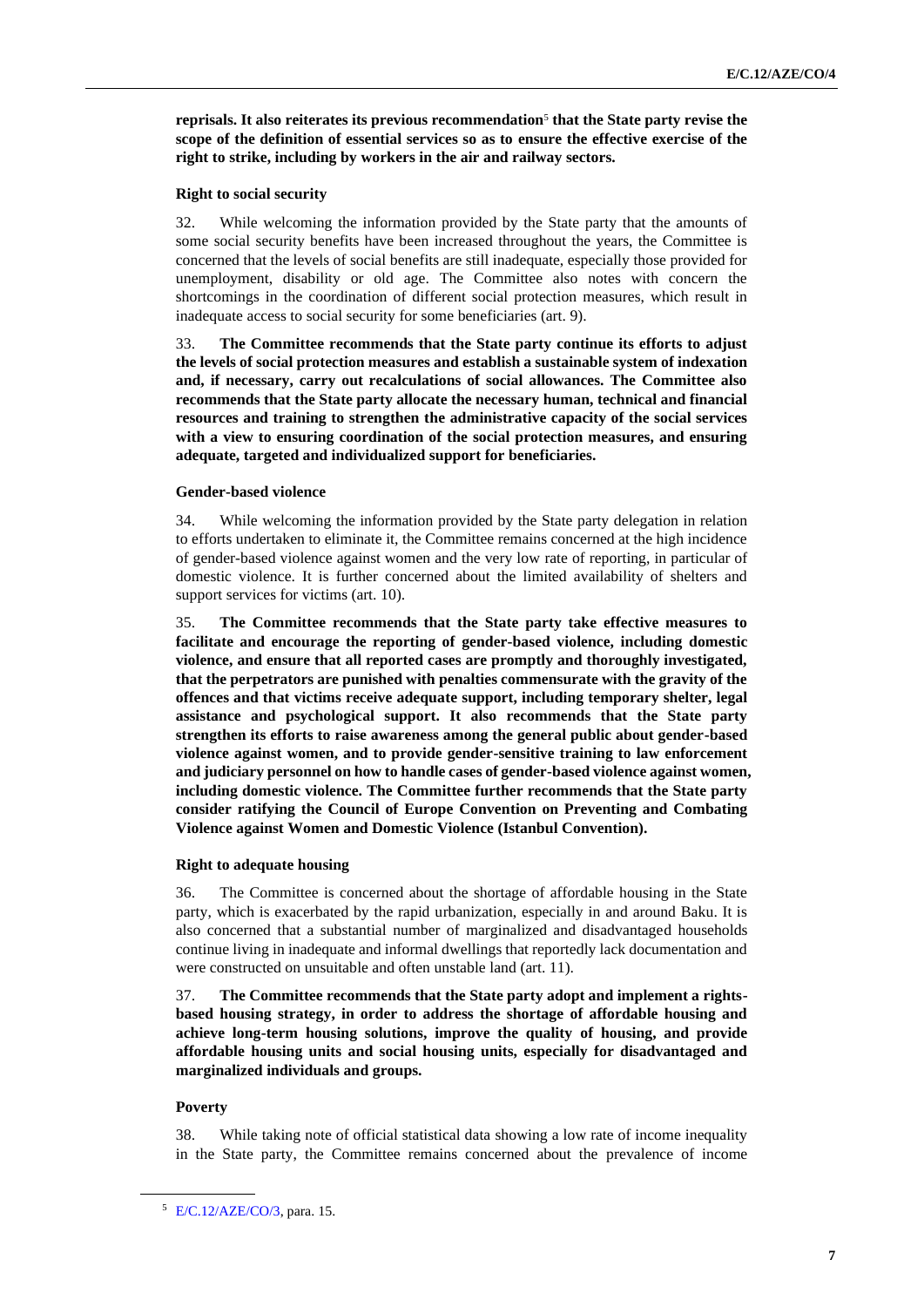**reprisals. It also reiterates its previous recommendation**<sup>5</sup> **that the State party revise the scope of the definition of essential services so as to ensure the effective exercise of the right to strike, including by workers in the air and railway sectors.**

#### **Right to social security**

32. While welcoming the information provided by the State party that the amounts of some social security benefits have been increased throughout the years, the Committee is concerned that the levels of social benefits are still inadequate, especially those provided for unemployment, disability or old age. The Committee also notes with concern the shortcomings in the coordination of different social protection measures, which result in inadequate access to social security for some beneficiaries (art. 9).

33. **The Committee recommends that the State party continue its efforts to adjust the levels of social protection measures and establish a sustainable system of indexation and, if necessary, carry out recalculations of social allowances. The Committee also recommends that the State party allocate the necessary human, technical and financial resources and training to strengthen the administrative capacity of the social services with a view to ensuring coordination of the social protection measures, and ensuring adequate, targeted and individualized support for beneficiaries.**

#### **Gender-based violence**

34. While welcoming the information provided by the State party delegation in relation to efforts undertaken to eliminate it, the Committee remains concerned at the high incidence of gender-based violence against women and the very low rate of reporting, in particular of domestic violence. It is further concerned about the limited availability of shelters and support services for victims (art. 10).

35. **The Committee recommends that the State party take effective measures to facilitate and encourage the reporting of gender-based violence, including domestic violence, and ensure that all reported cases are promptly and thoroughly investigated, that the perpetrators are punished with penalties commensurate with the gravity of the offences and that victims receive adequate support, including temporary shelter, legal assistance and psychological support. It also recommends that the State party strengthen its efforts to raise awareness among the general public about gender-based violence against women, and to provide gender-sensitive training to law enforcement and judiciary personnel on how to handle cases of gender-based violence against women, including domestic violence. The Committee further recommends that the State party consider ratifying the Council of Europe Convention on Preventing and Combating Violence against Women and Domestic Violence (Istanbul Convention).**

#### **Right to adequate housing**

36. The Committee is concerned about the shortage of affordable housing in the State party, which is exacerbated by the rapid urbanization, especially in and around Baku. It is also concerned that a substantial number of marginalized and disadvantaged households continue living in inadequate and informal dwellings that reportedly lack documentation and were constructed on unsuitable and often unstable land (art. 11).

37. **The Committee recommends that the State party adopt and implement a rightsbased housing strategy, in order to address the shortage of affordable housing and achieve long-term housing solutions, improve the quality of housing, and provide affordable housing units and social housing units, especially for disadvantaged and marginalized individuals and groups.**

#### **Poverty**

38. While taking note of official statistical data showing a low rate of income inequality in the State party, the Committee remains concerned about the prevalence of income

<sup>5</sup> [E/C.12/AZE/CO/3,](http://undocs.org/en/E/C.12/AZE/CO/3) para. 15.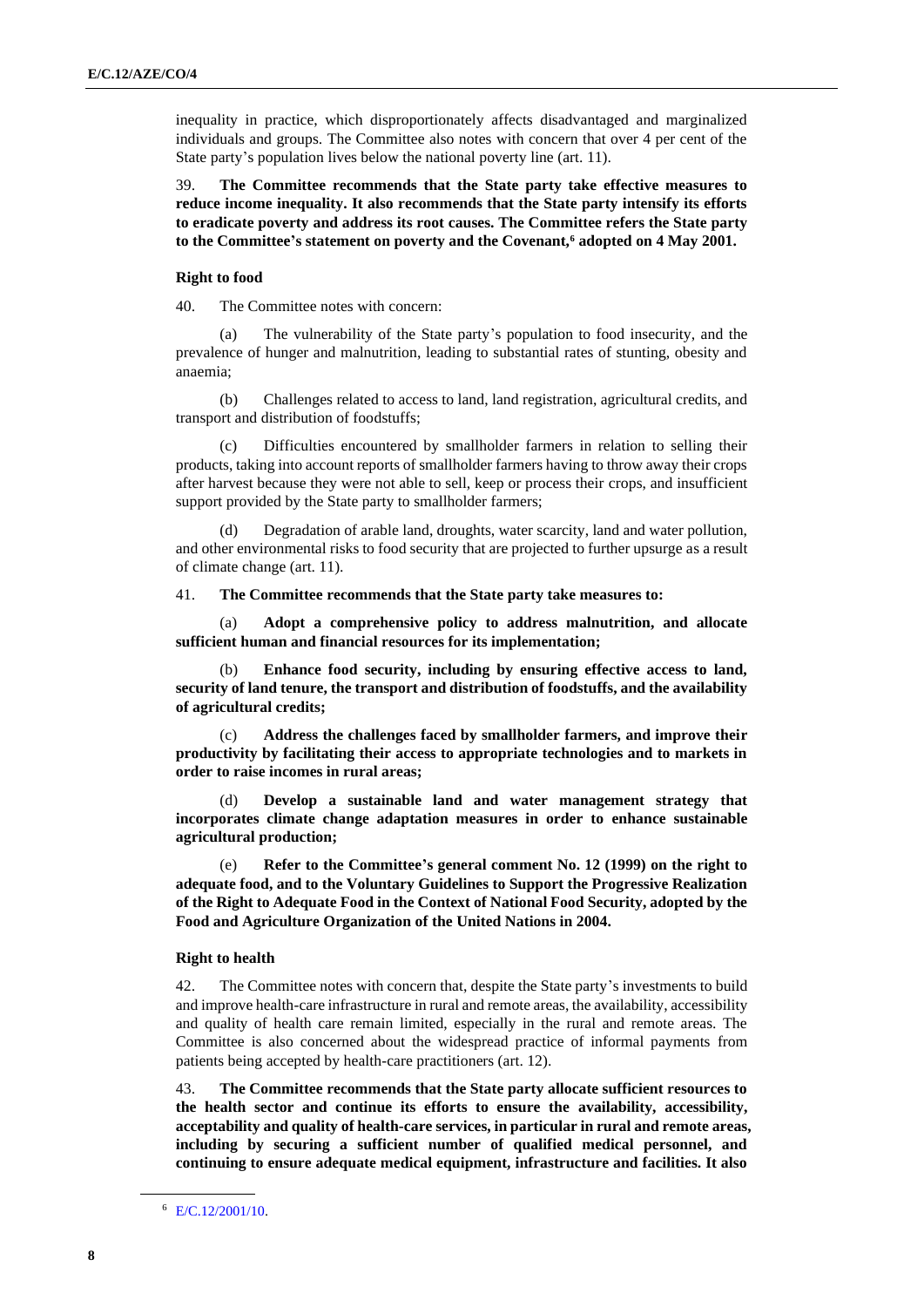inequality in practice, which disproportionately affects disadvantaged and marginalized individuals and groups. The Committee also notes with concern that over 4 per cent of the State party's population lives below the national poverty line (art. 11).

39. **The Committee recommends that the State party take effective measures to reduce income inequality. It also recommends that the State party intensify its efforts to eradicate poverty and address its root causes. The Committee refers the State party to the Committee's statement on poverty and the Covenant,<sup>6</sup> adopted on 4 May 2001.**

#### **Right to food**

40. The Committee notes with concern:

The vulnerability of the State party's population to food insecurity, and the prevalence of hunger and malnutrition, leading to substantial rates of stunting, obesity and anaemia;

(b) Challenges related to access to land, land registration, agricultural credits, and transport and distribution of foodstuffs;

(c) Difficulties encountered by smallholder farmers in relation to selling their products, taking into account reports of smallholder farmers having to throw away their crops after harvest because they were not able to sell, keep or process their crops, and insufficient support provided by the State party to smallholder farmers;

(d) Degradation of arable land, droughts, water scarcity, land and water pollution, and other environmental risks to food security that are projected to further upsurge as a result of climate change (art. 11).

#### 41. **The Committee recommends that the State party take measures to:**

(a) **Adopt a comprehensive policy to address malnutrition, and allocate sufficient human and financial resources for its implementation;**

Enhance food security, including by ensuring effective access to land, **security of land tenure, the transport and distribution of foodstuffs, and the availability of agricultural credits;**

(c) **Address the challenges faced by smallholder farmers, and improve their productivity by facilitating their access to appropriate technologies and to markets in order to raise incomes in rural areas;**

Develop a sustainable land and water management strategy that **incorporates climate change adaptation measures in order to enhance sustainable agricultural production;**

Refer to the Committee's general comment No. 12 (1999) on the right to **adequate food, and to the Voluntary Guidelines to Support the Progressive Realization of the Right to Adequate Food in the Context of National Food Security, adopted by the Food and Agriculture Organization of the United Nations in 2004.**

## **Right to health**

42. The Committee notes with concern that, despite the State party's investments to build and improve health-care infrastructure in rural and remote areas, the availability, accessibility and quality of health care remain limited, especially in the rural and remote areas. The Committee is also concerned about the widespread practice of informal payments from patients being accepted by health-care practitioners (art. 12).

43. **The Committee recommends that the State party allocate sufficient resources to the health sector and continue its efforts to ensure the availability, accessibility, acceptability and quality of health-care services, in particular in rural and remote areas, including by securing a sufficient number of qualified medical personnel, and continuing to ensure adequate medical equipment, infrastructure and facilities. It also** 

<sup>6</sup> [E/C.12/2001/10.](http://undocs.org/en/E/C.12/2001/10)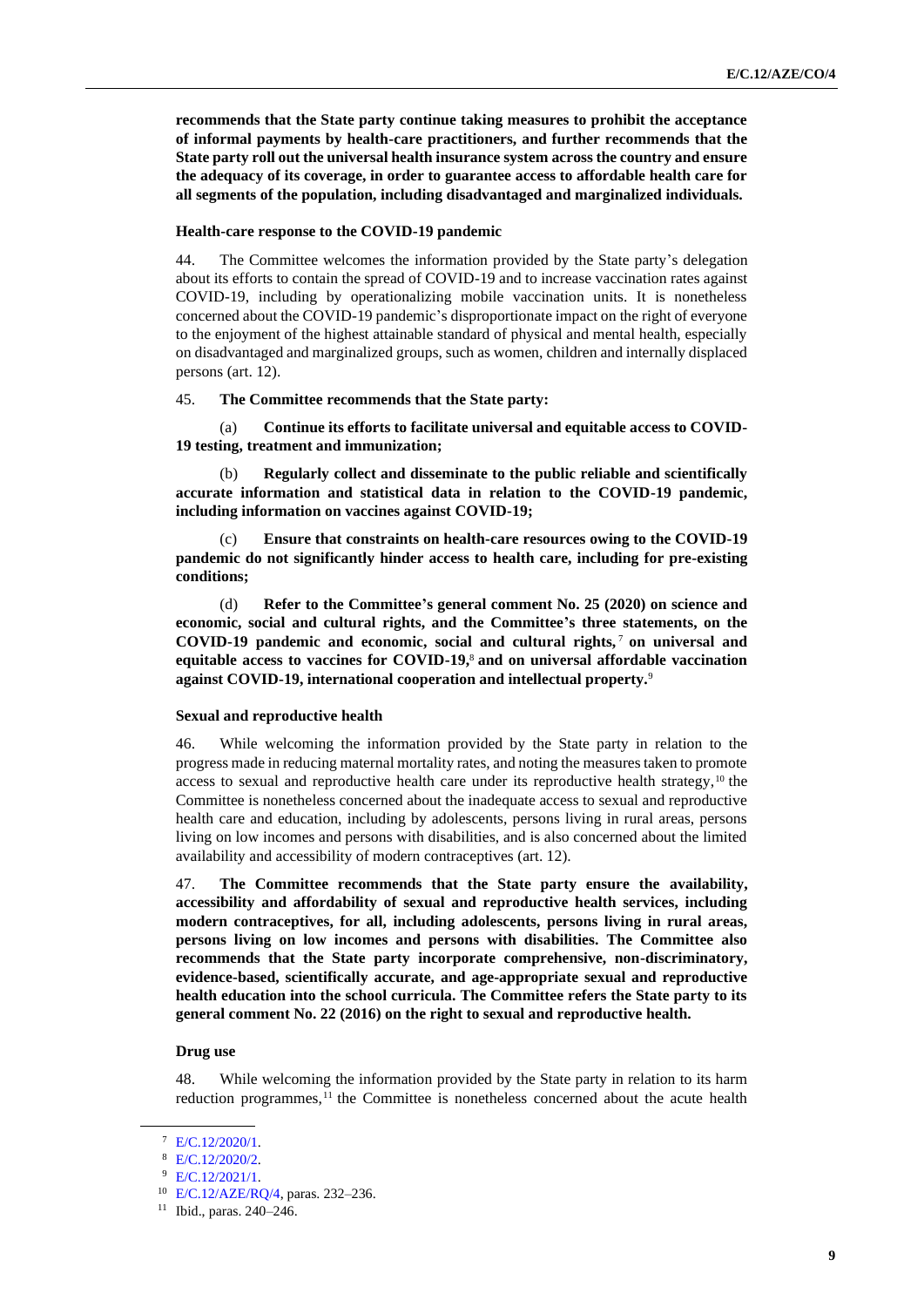**recommends that the State party continue taking measures to prohibit the acceptance of informal payments by health-care practitioners, and further recommends that the State party roll out the universal health insurance system across the country and ensure the adequacy of its coverage, in order to guarantee access to affordable health care for all segments of the population, including disadvantaged and marginalized individuals.**

#### **Health-care response to the COVID-19 pandemic**

44. The Committee welcomes the information provided by the State party's delegation about its efforts to contain the spread of COVID-19 and to increase vaccination rates against COVID-19, including by operationalizing mobile vaccination units. It is nonetheless concerned about the COVID-19 pandemic's disproportionate impact on the right of everyone to the enjoyment of the highest attainable standard of physical and mental health, especially on disadvantaged and marginalized groups, such as women, children and internally displaced persons (art. 12).

#### 45. **The Committee recommends that the State party:**

(a) **Continue its efforts to facilitate universal and equitable access to COVID-19 testing, treatment and immunization;**

Regularly collect and disseminate to the public reliable and scientifically **accurate information and statistical data in relation to the COVID-19 pandemic, including information on vaccines against COVID-19;**

(c) **Ensure that constraints on health-care resources owing to the COVID-19 pandemic do not significantly hinder access to health care, including for pre-existing conditions;**

(d) **Refer to the Committee's general comment No. 25 (2020) on science and economic, social and cultural rights, and the Committee's three statements, on the COVID-19 pandemic and economic, social and cultural rights,** <sup>7</sup> **on universal and equitable access to vaccines for COVID-19,**<sup>8</sup> **and on universal affordable vaccination against COVID-19, international cooperation and intellectual property.**<sup>9</sup>

#### **Sexual and reproductive health**

46. While welcoming the information provided by the State party in relation to the progress made in reducing maternal mortality rates, and noting the measures taken to promote access to sexual and reproductive health care under its reproductive health strategy, $10$  the Committee is nonetheless concerned about the inadequate access to sexual and reproductive health care and education, including by adolescents, persons living in rural areas, persons living on low incomes and persons with disabilities, and is also concerned about the limited availability and accessibility of modern contraceptives (art. 12).

47. **The Committee recommends that the State party ensure the availability, accessibility and affordability of sexual and reproductive health services, including modern contraceptives, for all, including adolescents, persons living in rural areas, persons living on low incomes and persons with disabilities. The Committee also recommends that the State party incorporate comprehensive, non-discriminatory, evidence-based, scientifically accurate, and age-appropriate sexual and reproductive health education into the school curricula. The Committee refers the State party to its general comment No. 22 (2016) on the right to sexual and reproductive health.**

# **Drug use**

48. While welcoming the information provided by the State party in relation to its harm reduction programmes,<sup>11</sup> the Committee is nonetheless concerned about the acute health

<sup>7</sup> [E/C.12/2020/1.](http://undocs.org/en/E/C.12/2020/1)

<sup>8</sup> [E/C.12/2020/2.](http://undocs.org/en/E/C.12/2020/2)

<sup>9</sup> [E/C.12/2021/1.](http://undocs.org/en/E/C.12/2021/1)

<sup>10</sup> [E/C.12/AZE/RQ/4,](http://undocs.org/en/E/C.12/AZE/RQ/4) paras. 232–236.

<sup>11</sup> Ibid., paras. 240–246.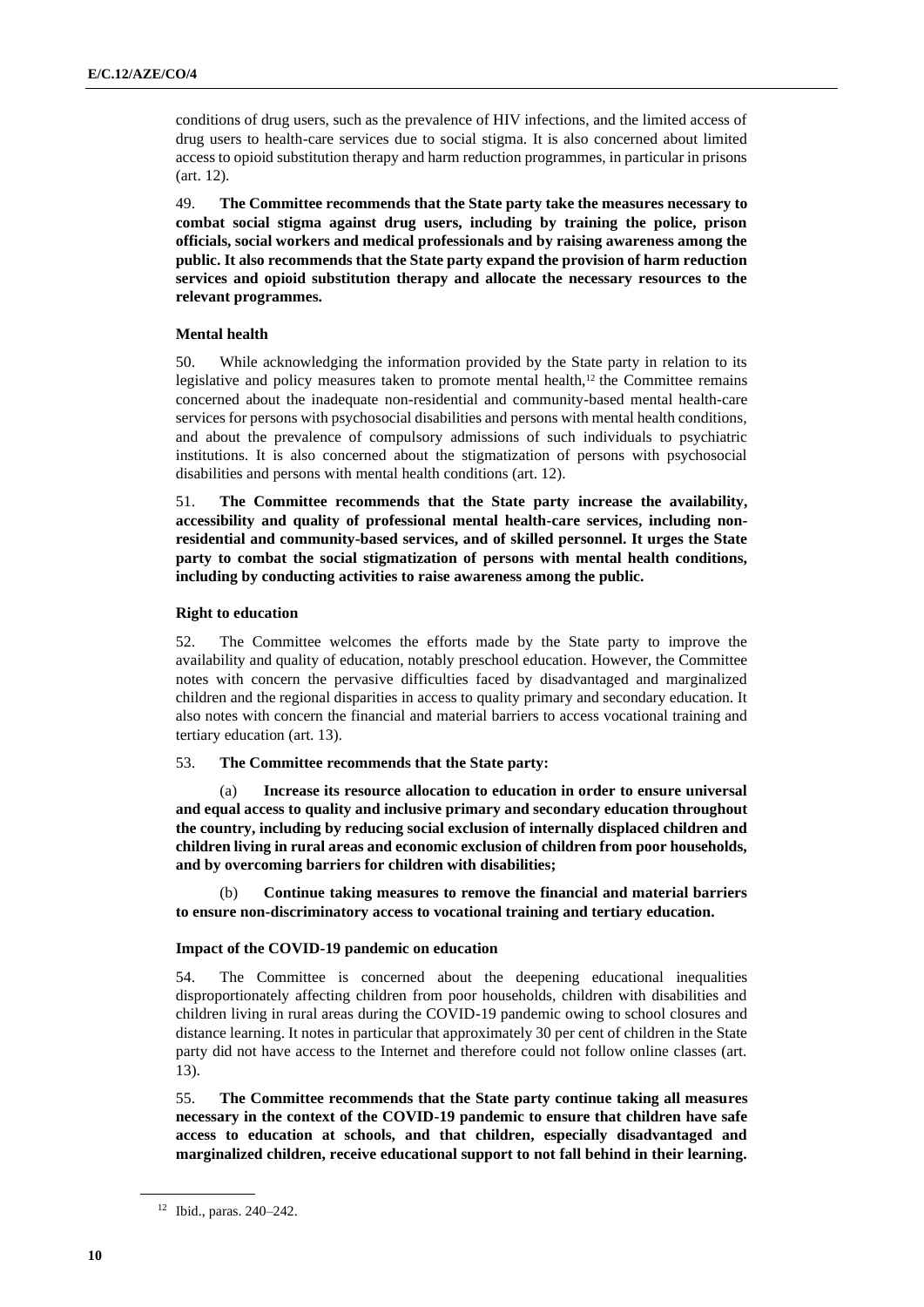conditions of drug users, such as the prevalence of HIV infections, and the limited access of drug users to health-care services due to social stigma. It is also concerned about limited access to opioid substitution therapy and harm reduction programmes, in particular in prisons (art. 12).

49. **The Committee recommends that the State party take the measures necessary to combat social stigma against drug users, including by training the police, prison officials, social workers and medical professionals and by raising awareness among the public. It also recommends that the State party expand the provision of harm reduction services and opioid substitution therapy and allocate the necessary resources to the relevant programmes.**

# **Mental health**

50. While acknowledging the information provided by the State party in relation to its legislative and policy measures taken to promote mental health,<sup>12</sup> the Committee remains concerned about the inadequate non-residential and community-based mental health-care services for persons with psychosocial disabilities and persons with mental health conditions, and about the prevalence of compulsory admissions of such individuals to psychiatric institutions. It is also concerned about the stigmatization of persons with psychosocial disabilities and persons with mental health conditions (art. 12).

51. **The Committee recommends that the State party increase the availability, accessibility and quality of professional mental health-care services, including nonresidential and community-based services, and of skilled personnel. It urges the State party to combat the social stigmatization of persons with mental health conditions, including by conducting activities to raise awareness among the public.**

#### **Right to education**

52. The Committee welcomes the efforts made by the State party to improve the availability and quality of education, notably preschool education. However, the Committee notes with concern the pervasive difficulties faced by disadvantaged and marginalized children and the regional disparities in access to quality primary and secondary education. It also notes with concern the financial and material barriers to access vocational training and tertiary education (art. 13).

#### 53. **The Committee recommends that the State party:**

Increase its resource allocation to education in order to ensure universal **and equal access to quality and inclusive primary and secondary education throughout the country, including by reducing social exclusion of internally displaced children and children living in rural areas and economic exclusion of children from poor households, and by overcoming barriers for children with disabilities;**

(b) **Continue taking measures to remove the financial and material barriers to ensure non-discriminatory access to vocational training and tertiary education.**

#### **Impact of the COVID-19 pandemic on education**

54. The Committee is concerned about the deepening educational inequalities disproportionately affecting children from poor households, children with disabilities and children living in rural areas during the COVID-19 pandemic owing to school closures and distance learning. It notes in particular that approximately 30 per cent of children in the State party did not have access to the Internet and therefore could not follow online classes (art. 13).

55. **The Committee recommends that the State party continue taking all measures necessary in the context of the COVID-19 pandemic to ensure that children have safe access to education at schools, and that children, especially disadvantaged and marginalized children, receive educational support to not fall behind in their learning.**

<sup>12</sup> Ibid., paras. 240–242.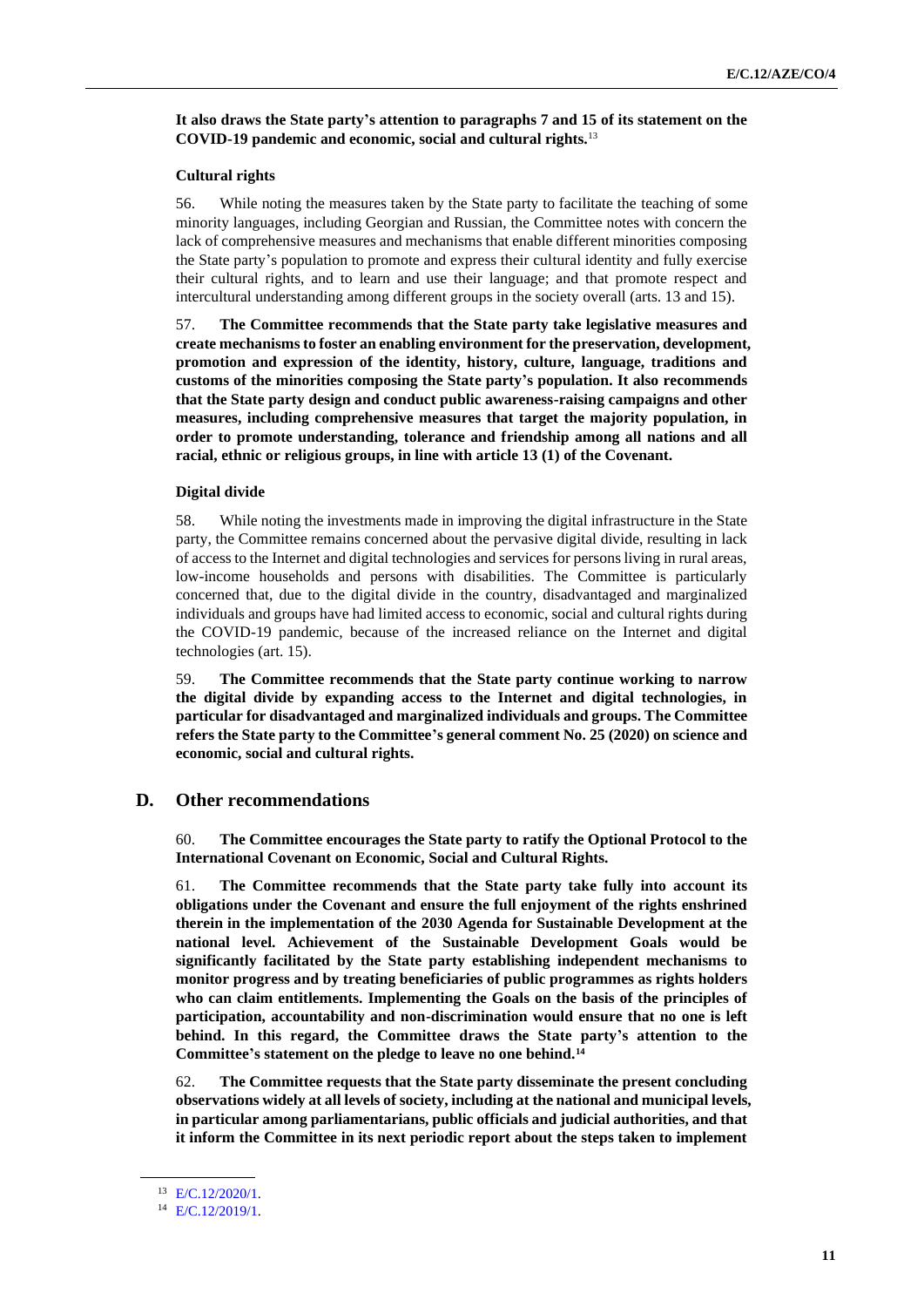### **It also draws the State party's attention to paragraphs 7 and 15 of its statement on the COVID-19 pandemic and economic, social and cultural rights.**<sup>13</sup>

#### **Cultural rights**

56. While noting the measures taken by the State party to facilitate the teaching of some minority languages, including Georgian and Russian, the Committee notes with concern the lack of comprehensive measures and mechanisms that enable different minorities composing the State party's population to promote and express their cultural identity and fully exercise their cultural rights, and to learn and use their language; and that promote respect and intercultural understanding among different groups in the society overall (arts. 13 and 15).

57. **The Committee recommends that the State party take legislative measures and create mechanisms to foster an enabling environment for the preservation, development, promotion and expression of the identity, history, culture, language, traditions and customs of the minorities composing the State party's population. It also recommends that the State party design and conduct public awareness-raising campaigns and other measures, including comprehensive measures that target the majority population, in order to promote understanding, tolerance and friendship among all nations and all racial, ethnic or religious groups, in line with article 13 (1) of the Covenant.**

#### **Digital divide**

58. While noting the investments made in improving the digital infrastructure in the State party, the Committee remains concerned about the pervasive digital divide, resulting in lack of access to the Internet and digital technologies and services for persons living in rural areas, low-income households and persons with disabilities. The Committee is particularly concerned that, due to the digital divide in the country, disadvantaged and marginalized individuals and groups have had limited access to economic, social and cultural rights during the COVID-19 pandemic, because of the increased reliance on the Internet and digital technologies (art. 15).

59. **The Committee recommends that the State party continue working to narrow the digital divide by expanding access to the Internet and digital technologies, in particular for disadvantaged and marginalized individuals and groups. The Committee refers the State party to the Committee's general comment No. 25 (2020) on science and economic, social and cultural rights.**

# **D. Other recommendations**

60. **The Committee encourages the State party to ratify the Optional Protocol to the International Covenant on Economic, Social and Cultural Rights.**

61. **The Committee recommends that the State party take fully into account its obligations under the Covenant and ensure the full enjoyment of the rights enshrined therein in the implementation of the 2030 Agenda for Sustainable Development at the national level. Achievement of the Sustainable Development Goals would be significantly facilitated by the State party establishing independent mechanisms to monitor progress and by treating beneficiaries of public programmes as rights holders who can claim entitlements. Implementing the Goals on the basis of the principles of participation, accountability and non-discrimination would ensure that no one is left behind. In this regard, the Committee draws the State party's attention to the Committee's statement on the pledge to leave no one behind.<sup>14</sup>**

62. **The Committee requests that the State party disseminate the present concluding observations widely at all levels of society, including at the national and municipal levels, in particular among parliamentarians, public officials and judicial authorities, and that it inform the Committee in its next periodic report about the steps taken to implement** 

<sup>13</sup> [E/C.12/2020/1.](http://undocs.org/en/E/C.12/2020/1)

<sup>14</sup> [E/C.12/2019/1.](http://undocs.org/en/E/C.12/2019/1)